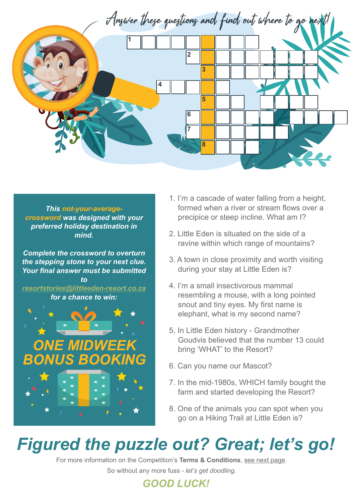

*This not-your-averagecrossword was designed with your preferred holiday destination in mind.*

*Complete the crossword to overturn the stepping stone to your next clue. Your final answer must be submitted to*

*resortstories@littleeden-resort.co.za for a chance to win:*



- 1. I'm a cascade of water falling from a height, formed when a river or stream flows over a precipice or steep incline. What am I?
- 2. Little Eden is situated on the side of a ravine within which range of mountains?
- 3. A town in close proximity and worth visiting during your stay at Little Eden is?
- 4. I'm a small insectivorous mammal resembling a mouse, with a long pointed snout and tiny eyes. My first name is elephant, what is my second name?
- 5. In Little Eden history Grandmother Goudvis believed that the number 13 could bring 'WHAT' to the Resort?
- 6. Can you name our Mascot?
- 7. In the mid-1980s, WHICH family bought the farm and started developing the Resort?
- 8. One of the animals you can spot when you go on a Hiking Trail at Little Eden is?

## *Figured the puzzle out? Great; let's go!*

For more information on the Competition's **Terms & Conditions**, see next page.

So without any more fuss - *let's get doodling.*

## *GOOD LUCK!*